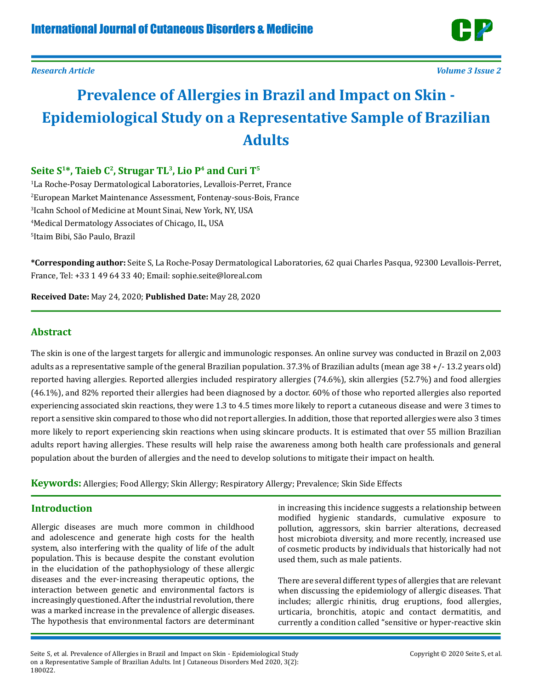

*Research Article Volume 3 Issue 2*

# **Prevalence of Allergies in Brazil and Impact on Skin - Epidemiological Study on a Representative Sample of Brazilian Adults**

# Seite S<sup>1\*</sup>, Taieb C<sup>2</sup>, Strugar TL<sup>3</sup>, Lio P<sup>4</sup> and Curi T<sup>5</sup>

 La Roche-Posay Dermatological Laboratories, Levallois-Perret, France European Market Maintenance Assessment, Fontenay-sous-Bois, France Icahn School of Medicine at Mount Sinai, New York, NY, USA Medical Dermatology Associates of Chicago, IL, USA Itaim Bibi, São Paulo, Brazil

**\*Corresponding author:** Seite S, La Roche-Posay Dermatological Laboratories, 62 quai Charles Pasqua, 92300 Levallois-Perret, France, Tel: +33 1 49 64 33 40; Email: sophie.seite@loreal.com

**Received Date:** May 24, 2020; **Published Date:** May 28, 2020

# **Abstract**

The skin is one of the largest targets for allergic and immunologic responses. An online survey was conducted in Brazil on 2,003 adults as a representative sample of the general Brazilian population. 37.3% of Brazilian adults (mean age 38 +/- 13.2 years old) reported having allergies. Reported allergies included respiratory allergies (74.6%), skin allergies (52.7%) and food allergies (46.1%), and 82% reported their allergies had been diagnosed by a doctor. 60% of those who reported allergies also reported experiencing associated skin reactions, they were 1.3 to 4.5 times more likely to report a cutaneous disease and were 3 times to report a sensitive skin compared to those who did not report allergies. In addition, those that reported allergies were also 3 times more likely to report experiencing skin reactions when using skincare products. It is estimated that over 55 million Brazilian adults report having allergies. These results will help raise the awareness among both health care professionals and general population about the burden of allergies and the need to develop solutions to mitigate their impact on health.

**Keywords:** Allergies; Food Allergy; Skin Allergy; Respiratory Allergy; Prevalence; Skin Side Effects

# **Introduction**

Allergic diseases are much more common in childhood and adolescence and generate high costs for the health system, also interfering with the quality of life of the adult population. This is because despite the constant evolution in the elucidation of the pathophysiology of these allergic diseases and the ever-increasing therapeutic options, the interaction between genetic and environmental factors is increasingly questioned. After the industrial revolution, there was a marked increase in the prevalence of allergic diseases. The hypothesis that environmental factors are determinant

in increasing this incidence suggests a relationship between modified hygienic standards, cumulative exposure to pollution, aggressors, skin barrier alterations, decreased host microbiota diversity, and more recently, increased use of cosmetic products by individuals that historically had not used them, such as male patients.

There are several different types of allergies that are relevant when discussing the epidemiology of allergic diseases. That includes; allergic rhinitis, drug eruptions, food allergies, urticaria, bronchitis, atopic and contact dermatitis, and currently a condition called "sensitive or hyper-reactive skin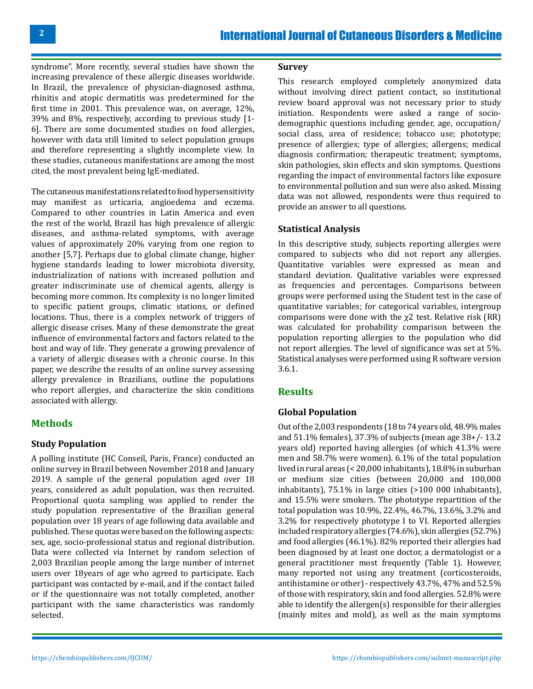syndrome". More recently, several studies have shown the increasing prevalence of these allergic diseases worldwide. In Brazil, the prevalence of physician-diagnosed asthma, rhinitis and atopic dermatitis was predetermined for the first time in 2001. This prevalence was, on average, 12%, 39% and 8%, respectively, according to previous study [1- 6]. There are some documented studies on food allergies, however with data still limited to select population groups and therefore representing a slightly incomplete view. In these studies, cutaneous manifestations are among the most cited, the most prevalent being IgE-mediated.

The cutaneous manifestations related to food hypersensitivity may manifest as urticaria, angioedema and eczema. Compared to other countries in Latin America and even the rest of the world, Brazil has high prevalence of allergic diseases, and asthma-related symptoms, with average values of approximately 20% varying from one region to another [5,7]. Perhaps due to global climate change, higher hygiene standards leading to lower microbiota diversity, industrialization of nations with increased pollution and greater indiscriminate use of chemical agents, allergy is becoming more common. Its complexity is no longer limited to specific patient groups, climatic stations, or defined locations. Thus, there is a complex network of triggers of allergic disease crises. Many of these demonstrate the great influence of environmental factors and factors related to the host and way of life. They generate a growing prevalence of a variety of allergic diseases with a chronic course. In this paper, we describe the results of an online survey assessing allergy prevalence in Brazilians, outline the populations who report allergies, and characterize the skin conditions associated with allergy.

# **Methods**

# **Study Population**

A polling institute (HC Conseil, Paris, France) conducted an online survey in Brazil between November 2018 and January 2019. A sample of the general population aged over 18 years, considered as adult population, was then recruited. Proportional quota sampling was applied to render the study population representative of the Brazilian general population over 18 years of age following data available and published. These quotas were based on the following aspects: sex, age, socio-professional status and regional distribution. Data were collected via Internet by random selection of 2,003 Brazilian people among the large number of internet users over 18years of age who agreed to participate. Each participant was contacted by e-mail, and if the contact failed or if the questionnaire was not totally completed, another participant with the same characteristics was randomly selected.

### **Survey**

This research employed completely anonymized data without involving direct patient contact, so institutional review board approval was not necessary prior to study initiation. Respondents were asked a range of sociodemographic questions including gender, age, occupation/ social class, area of residence; tobacco use; phototype; presence of allergies; type of allergies; allergens; medical diagnosis confirmation; therapeutic treatment; symptoms, skin pathologies, skin effects and skin symptoms. Questions regarding the impact of environmental factors like exposure to environmental pollution and sun were also asked. Missing data was not allowed, respondents were thus required to provide an answer to all questions.

## **Statistical Analysis**

In this descriptive study, subjects reporting allergies were compared to subjects who did not report any allergies. Quantitative variables were expressed as mean and standard deviation. Qualitative variables were expressed as frequencies and percentages. Comparisons between groups were performed using the Student test in the case of quantitative variables; for categorical variables, intergroup comparisons were done with the χ2 test. Relative risk (RR) was calculated for probability comparison between the population reporting allergies to the population who did not report allergies. The level of significance was set at 5%. Statistical analyses were performed using R software version 3.6.1.

# **Results**

# **Global Population**

Out of the 2,003 respondents (18 to 74 years old, 48.9% males and 51.1% females), 37.3% of subjects (mean age 38+/- 13.2 years old) reported having allergies (of which 41.3% were men and 58.7% were women). 6.1% of the total population lived in rural areas (< 20,000 inhabitants), 18.8% in suburban or medium size cities (between 20,000 and 100,000 inhabitants), 75.1% in large cities (>100 000 inhabitants), and 15.5% were smokers. The phototype repartition of the total population was 10.9%, 22.4%, 46.7%, 13.6%, 3.2% and 3.2% for respectively phototype I to VI. Reported allergies included respiratory allergies (74.6%), skin allergies (52.7%) and food allergies (46.1%). 82% reported their allergies had been diagnosed by at least one doctor, a dermatologist or a general practitioner most frequently (Table 1). However, many reported not using any treatment (corticosteroids, antihistamine or other) - respectively 43.7%, 47% and 52.5% of those with respiratory, skin and food allergies. 52.8% were able to identify the allergen(s) responsible for their allergies (mainly mites and mold), as well as the main symptoms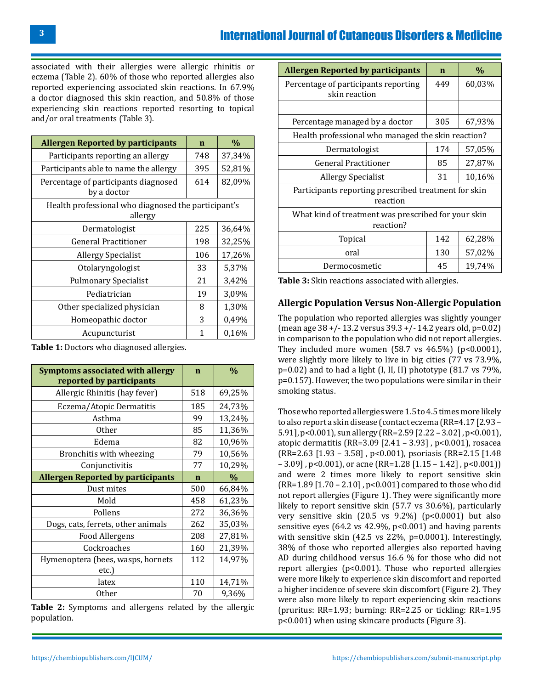# International Journal of Cutaneous Disorders & Medicine

associated with their allergies were allergic rhinitis or eczema (Table 2). 60% of those who reported allergies also reported experiencing associated skin reactions. In 67.9% a doctor diagnosed this skin reaction, and 50.8% of those experiencing skin reactions reported resorting to topical and/or oral treatments (Table 3).

| <b>Allergen Reported by participants</b>                       | $\mathbf n$ | $\%$   |  |  |  |  |
|----------------------------------------------------------------|-------------|--------|--|--|--|--|
| Participants reporting an allergy                              | 748         | 37,34% |  |  |  |  |
| Participants able to name the allergy                          | 395         | 52,81% |  |  |  |  |
| Percentage of participants diagnosed<br>by a doctor            | 614         | 82,09% |  |  |  |  |
| Health professional who diagnosed the participant's<br>allergy |             |        |  |  |  |  |
| Dermatologist                                                  | 225         | 36,64% |  |  |  |  |
| <b>General Practitioner</b>                                    | 198         | 32,25% |  |  |  |  |
| <b>Allergy Specialist</b>                                      | 106         | 17,26% |  |  |  |  |
| Otolaryngologist                                               | 33          | 5,37%  |  |  |  |  |
| <b>Pulmonary Specialist</b>                                    | 21          | 3,42%  |  |  |  |  |
| Pediatrician                                                   | 19          | 3,09%  |  |  |  |  |
| Other specialized physician                                    | 8           | 1,30%  |  |  |  |  |
| Homeopathic doctor                                             | 3           | 0,49%  |  |  |  |  |
| Acupuncturist                                                  | 1           | 0,16%  |  |  |  |  |

**Table 1:** Doctors who diagnosed allergies.

**Symptoms associated with allergy reported by participants n %** Allergic Rhinitis (hay fever)  $\begin{array}{|c|c|c|c|c|} \hline 518 & 69,25\% \hline \end{array}$ Eczema/Atopic Dermatitis | 185 | 24,73% Asthma 99 13,24%<br>0ther 85 11,36% 85 | 11,36% Edema 82 10,96% Bronchitis with wheezing  $\begin{array}{|c|c|c|c|c|} \hline 79 & 10,56\% \hline \end{array}$ Conjunctivitis 77 10,29% **Allergen Reported by participants n %** Dust mites 1 500 66,84% Mold 158 61,23% Pollens 272 36,36% Dogs, cats, ferrets, other animals 262 35,03%<br>Food Allergens 208 27,81% Food Allergens 208 27,81%<br>Cockroaches 160 21,39% Cockroaches 160<br>
<u>Exa</u> (bees, wasps, hornets 112 Hymenoptera (bees, wasps, hornets etc.) 14,97% latex 110 14,71%<br>0ther 70 9.36% 9,36%

**Table 2:** Symptoms and allergens related by the allergic population.

| <b>Allergen Reported by participants</b>                         | $\mathbf n$ | $\%$   |  |  |  |  |
|------------------------------------------------------------------|-------------|--------|--|--|--|--|
| Percentage of participants reporting<br>skin reaction            | 449         | 60,03% |  |  |  |  |
|                                                                  |             |        |  |  |  |  |
| Percentage managed by a doctor                                   | 305         | 67,93% |  |  |  |  |
| Health professional who managed the skin reaction?               |             |        |  |  |  |  |
| Dermatologist                                                    | 174         | 57,05% |  |  |  |  |
| <b>General Practitioner</b>                                      | 85          | 27,87% |  |  |  |  |
| <b>Allergy Specialist</b>                                        | 31          | 10,16% |  |  |  |  |
| Participants reporting prescribed treatment for skin<br>reaction |             |        |  |  |  |  |
| What kind of treatment was prescribed for your skin<br>reaction? |             |        |  |  |  |  |
| Topical                                                          | 142         | 62,28% |  |  |  |  |
| oral                                                             | 130         | 57,02% |  |  |  |  |
| Dermocosmetic                                                    | 45          | 19,74% |  |  |  |  |

**Table 3:** Skin reactions associated with allergies.

#### **Allergic Population Versus Non-Allergic Population**

The population who reported allergies was slightly younger  $(\text{mean age } 38 + \text{/} - 13.2 \text{ versus } 39.3 + \text{/} - 14.2 \text{ years } 0 \text{Id}, \text{p=0.02})$ in comparison to the population who did not report allergies. They included more women  $(58.7 \text{ vs } 46.5\%)$   $(p<0.0001)$ , were slightly more likely to live in big cities (77 vs 73.9%,  $p=0.02$ ) and to had a light (I, II, II) phototype  $(81.7 \text{ vs } 79\%$ . p=0.157). However, the two populations were similar in their smoking status.

Those who reported allergies were 1.5 to 4.5 times more likely to also report a skin disease (contact eczema (RR=4.17 [2.93 – 5.91], p<0.001), sun allergy (RR=2.59 [2.22 – 3.02] , p<0.001), atopic dermatitis (RR=3.09 [2.41 – 3.93] , p<0.001), rosacea (RR=2.63 [1.93 – 3.58] , p<0.001), psoriasis (RR=2.15 [1.48  $-3.09$ ], p<0.001), or acne (RR=1.28 [1.15 – 1.42], p<0.001)) and were 2 times more likely to report sensitive skin (RR=1.89 [1.70 – 2.10] , p<0.001) compared to those who did not report allergies (Figure 1). They were significantly more likely to report sensitive skin (57.7 vs 30.6%), particularly very sensitive skin  $(20.5 \text{ vs } 9.2\%)$   $(p<0.0001)$  but also sensitive eyes (64.2 vs 42.9%, p<0.001) and having parents with sensitive skin (42.5 vs 22%, p=0.0001). Interestingly, 38% of those who reported allergies also reported having AD during childhood versus 16.6 % for those who did not report allergies (p<0.001). Those who reported allergies were more likely to experience skin discomfort and reported a higher incidence of severe skin discomfort (Figure 2). They were also more likely to report experiencing skin reactions (pruritus: RR=1.93; burning: RR=2.25 or tickling: RR=1.95 p<0.001) when using skincare products (Figure 3).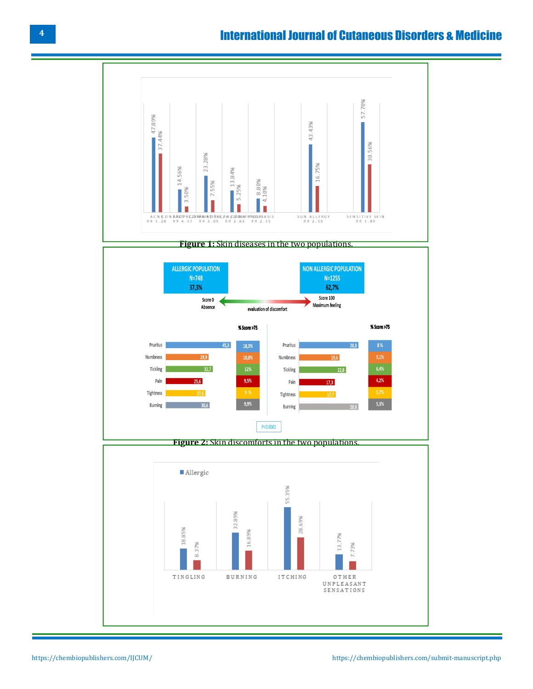# International Journal of Cutaneous Disorders & Medicine

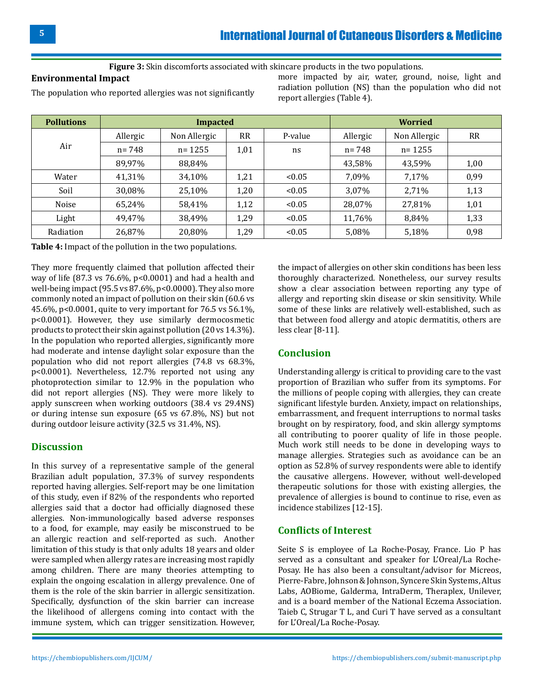#### **Figure 3:** Skin discomforts associated with skincare products in the two populations.

### **Environmental Impact**

The population who reported allergies was not significantly

more impacted by air, water, ground, noise, light and radiation pollution (NS) than the population who did not report allergies (Table 4).

| <b>Pollutions</b> | <b>Impacted</b> |              |           | <b>Worried</b> |           |              |           |
|-------------------|-----------------|--------------|-----------|----------------|-----------|--------------|-----------|
|                   | Allergic        | Non Allergic | <b>RR</b> | P-value        | Allergic  | Non Allergic | <b>RR</b> |
| Air               | $n = 748$       | $n = 1255$   | 1,01      | ns             | $n = 748$ | $n = 1255$   |           |
|                   | 89,97%          | 88,84%       |           |                | 43,58%    | 43,59%       | 1,00      |
| Water             | 41,31%          | 34,10%       | 1,21      | < 0.05         | 7,09%     | 7,17%        | 0,99      |
| Soil              | 30,08%          | 25,10%       | 1,20      | < 0.05         | 3,07%     | 2,71%        | 1,13      |
| Noise             | 65,24%          | 58,41%       | 1,12      | < 0.05         | 28,07%    | 27,81%       | 1,01      |
| Light             | 49,47%          | 38,49%       | 1,29      | < 0.05         | 11,76%    | 8,84%        | 1,33      |
| Radiation         | 26,87%          | 20,80%       | 1,29      | < 0.05         | 5,08%     | 5,18%        | 0,98      |

**Table 4:** Impact of the pollution in the two populations.

They more frequently claimed that pollution affected their way of life (87.3 vs 76.6%, p<0.0001) and had a health and well-being impact (95.5 vs  $87.6\%$ , p<0.0000). They also more commonly noted an impact of pollution on their skin (60.6 vs 45.6%, p<0.0001, quite to very important for 76.5 vs 56.1%, p<0.0001). However, they use similarly dermocosmetic products to protect their skin against pollution (20 vs 14.3%). In the population who reported allergies, significantly more had moderate and intense daylight solar exposure than the population who did not report allergies (74.8 vs 68.3%, p<0.0001). Nevertheless, 12.7% reported not using any photoprotection similar to 12.9% in the population who did not report allergies (NS). They were more likely to apply sunscreen when working outdoors (38.4 vs 29.4NS) or during intense sun exposure (65 vs 67.8%, NS) but not during outdoor leisure activity (32.5 vs 31.4%, NS).

# **Discussion**

In this survey of a representative sample of the general Brazilian adult population, 37.3% of survey respondents reported having allergies. Self-report may be one limitation of this study, even if 82% of the respondents who reported allergies said that a doctor had officially diagnosed these allergies. Non-immunologically based adverse responses to a food, for example, may easily be misconstrued to be an allergic reaction and self-reported as such. Another limitation of this study is that only adults 18 years and older were sampled when allergy rates are increasing most rapidly among children. There are many theories attempting to explain the ongoing escalation in allergy prevalence. One of them is the role of the skin barrier in allergic sensitization. Specifically, dysfunction of the skin barrier can increase the likelihood of allergens coming into contact with the immune system, which can trigger sensitization. However, the impact of allergies on other skin conditions has been less thoroughly characterized. Nonetheless, our survey results show a clear association between reporting any type of allergy and reporting skin disease or skin sensitivity. While some of these links are relatively well-established, such as that between food allergy and atopic dermatitis, others are less clear [8-11].

### **Conclusion**

Understanding allergy is critical to providing care to the vast proportion of Brazilian who suffer from its symptoms. For the millions of people coping with allergies, they can create significant lifestyle burden. Anxiety, impact on relationships, embarrassment, and frequent interruptions to normal tasks brought on by respiratory, food, and skin allergy symptoms all contributing to poorer quality of life in those people. Much work still needs to be done in developing ways to manage allergies. Strategies such as avoidance can be an option as 52.8% of survey respondents were able to identify the causative allergens. However, without well-developed therapeutic solutions for those with existing allergies, the prevalence of allergies is bound to continue to rise, even as incidence stabilizes [12-15].

### **Conflicts of Interest**

Seite S is employee of La Roche-Posay, France. Lio P has served as a consultant and speaker for L'Oreal/La Roche-Posay. He has also been a consultant/advisor for Micreos, Pierre-Fabre, Johnson & Johnson, Syncere Skin Systems, Altus Labs, AOBiome, Galderma, IntraDerm, Theraplex, Unilever, and is a board member of the National Eczema Association. Taieb C, Strugar T L, and Curi T have served as a consultant for L'Oreal/La Roche-Posay.